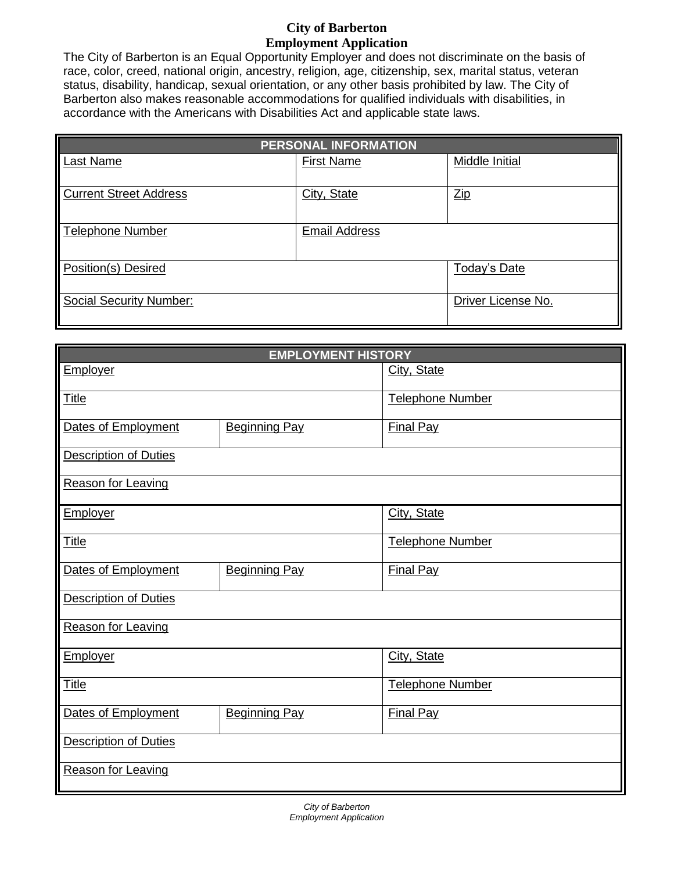## **City of Barberton Employment Application**

The City of Barberton is an Equal Opportunity Employer and does not discriminate on the basis of race, color, creed, national origin, ancestry, religion, age, citizenship, sex, marital status, veteran status, disability, handicap, sexual orientation, or any other basis prohibited by law. The City of Barberton also makes reasonable accommodations for qualified individuals with disabilities, in accordance with the Americans with Disabilities Act and applicable state laws.

| <b>PERSONAL INFORMATION</b>   |                      |                      |  |  |  |
|-------------------------------|----------------------|----------------------|--|--|--|
| Last Name                     | <b>First Name</b>    | Middle Initial       |  |  |  |
| <b>Current Street Address</b> | City, State          | $_{\underline{Zip}}$ |  |  |  |
| <b>Telephone Number</b>       | <b>Email Address</b> |                      |  |  |  |
| Position(s) Desired           |                      | Today's Date         |  |  |  |
| Social Security Number:       |                      | Driver License No.   |  |  |  |

| <b>EMPLOYMENT HISTORY</b>    |                      |                  |  |  |  |
|------------------------------|----------------------|------------------|--|--|--|
| <b>Employer</b>              |                      | City, State      |  |  |  |
| <b>Title</b>                 |                      | Telephone Number |  |  |  |
| Dates of Employment          | <b>Beginning Pay</b> | <b>Final Pay</b> |  |  |  |
| <b>Description of Duties</b> |                      |                  |  |  |  |
| Reason for Leaving           |                      |                  |  |  |  |
| Employer                     |                      | City, State      |  |  |  |
| <b>Title</b>                 |                      | Telephone Number |  |  |  |
| Dates of Employment          | <b>Beginning Pay</b> | <b>Final Pay</b> |  |  |  |
| <b>Description of Duties</b> |                      |                  |  |  |  |
| Reason for Leaving           |                      |                  |  |  |  |
| Employer                     |                      | City, State      |  |  |  |
| <b>Title</b>                 |                      | Telephone Number |  |  |  |
| Dates of Employment          | <b>Beginning Pay</b> | <b>Final Pay</b> |  |  |  |
| <b>Description of Duties</b> |                      |                  |  |  |  |
| Reason for Leaving           |                      |                  |  |  |  |